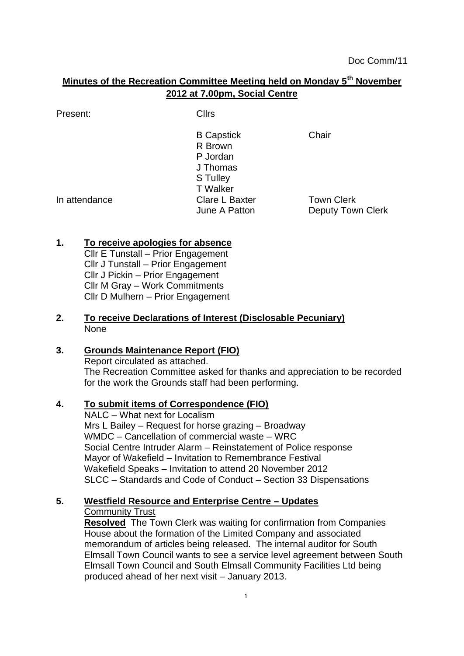# **Minutes of the Recreation Committee Meeting held on Monday 5th November 2012 at 7.00pm, Social Centre**

Present: Clirs

B Capstick Chair R Brown P Jordan J Thomas S Tulley T Walker In attendance Clare L Baxter Town Clerk

June A Patton **Deputy Town Clerk** 

## **1. To receive apologies for absence**

Cllr E Tunstall – Prior Engagement Cllr J Tunstall – Prior Engagement Cllr J Pickin – Prior Engagement Cllr M Gray – Work Commitments Cllr D Mulhern – Prior Engagement

### **2. To receive Declarations of Interest (Disclosable Pecuniary)** None

## **3. Grounds Maintenance Report (FIO)**

Report circulated as attached. The Recreation Committee asked for thanks and appreciation to be recorded for the work the Grounds staff had been performing.

## **4. To submit items of Correspondence (FIO)**

NALC – What next for Localism Mrs L Bailey – Request for horse grazing – Broadway WMDC – Cancellation of commercial waste – WRC Social Centre Intruder Alarm – Reinstatement of Police response Mayor of Wakefield – Invitation to Remembrance Festival Wakefield Speaks – Invitation to attend 20 November 2012 SLCC – Standards and Code of Conduct – Section 33 Dispensations

#### **5. Westfield Resource and Enterprise Centre – Updates** Community Trust

**Resolved** The Town Clerk was waiting for confirmation from Companies House about the formation of the Limited Company and associated memorandum of articles being released. The internal auditor for South Elmsall Town Council wants to see a service level agreement between South Elmsall Town Council and South Elmsall Community Facilities Ltd being produced ahead of her next visit – January 2013.